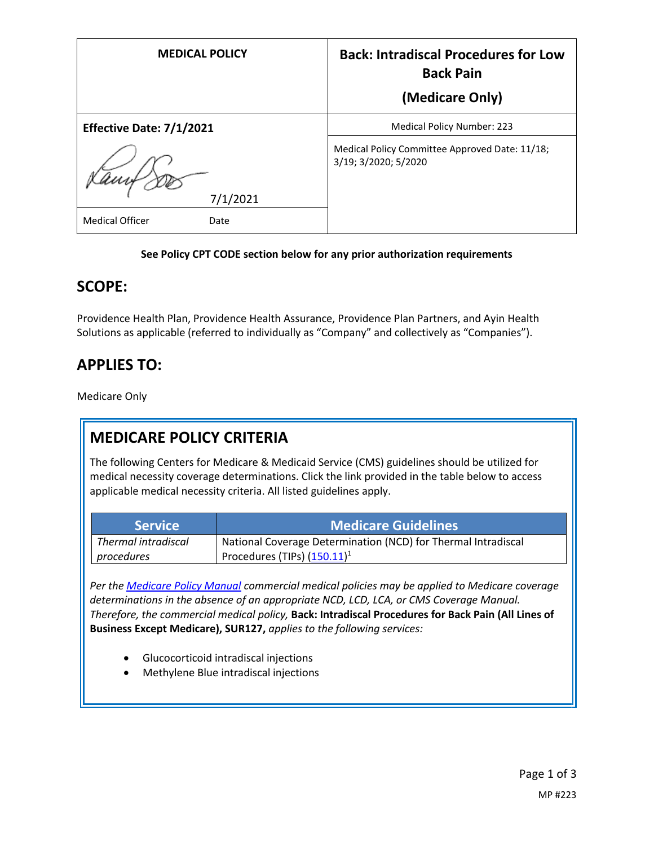| <b>MEDICAL POLICY</b>          | <b>Back: Intradiscal Procedures for Low</b><br><b>Back Pain</b>        |
|--------------------------------|------------------------------------------------------------------------|
|                                | (Medicare Only)                                                        |
| Effective Date: 7/1/2021       | <b>Medical Policy Number: 223</b>                                      |
| 7/1/2021                       | Medical Policy Committee Approved Date: 11/18;<br>3/19; 3/2020; 5/2020 |
| <b>Medical Officer</b><br>Date |                                                                        |

#### **See Policy CPT CODE section below for any prior authorization requirements**

#### **SCOPE:**

Providence Health Plan, Providence Health Assurance, Providence Plan Partners, and Ayin Health Solutions as applicable (referred to individually as "Company" and collectively as "Companies").

## **APPLIES TO:**

Medicare Only

## **MEDICARE POLICY CRITERIA**

The following Centers for Medicare & Medicaid Service (CMS) guidelines should be utilized for medical necessity coverage determinations. Click the link provided in the table below to access applicable medical necessity criteria. All listed guidelines apply.

| <b>Service</b>      | <b>Medicare Guidelines</b>                                    |
|---------------------|---------------------------------------------------------------|
| Thermal intradiscal | National Coverage Determination (NCD) for Thermal Intradiscal |
| <i>procedures</i>   | Procedures (TIPs) $(150.11)^1$                                |

*Per th[e Medicare Policy Manual](https://s3-us-west-2.amazonaws.com/images.provhealth.org/Providence-Images/PHP_PHA_Medical_Policy_CMS_Manual.pdf) commercial medical policies may be applied to Medicare coverage determinations in the absence of an appropriate NCD, LCD, LCA, or CMS Coverage Manual. Therefore, the commercial medical policy,* **Back: Intradiscal Procedures for Back Pain (All Lines of Business Except Medicare), SUR127,** *applies to the following services:*

- Glucocorticoid intradiscal injections
- Methylene Blue intradiscal injections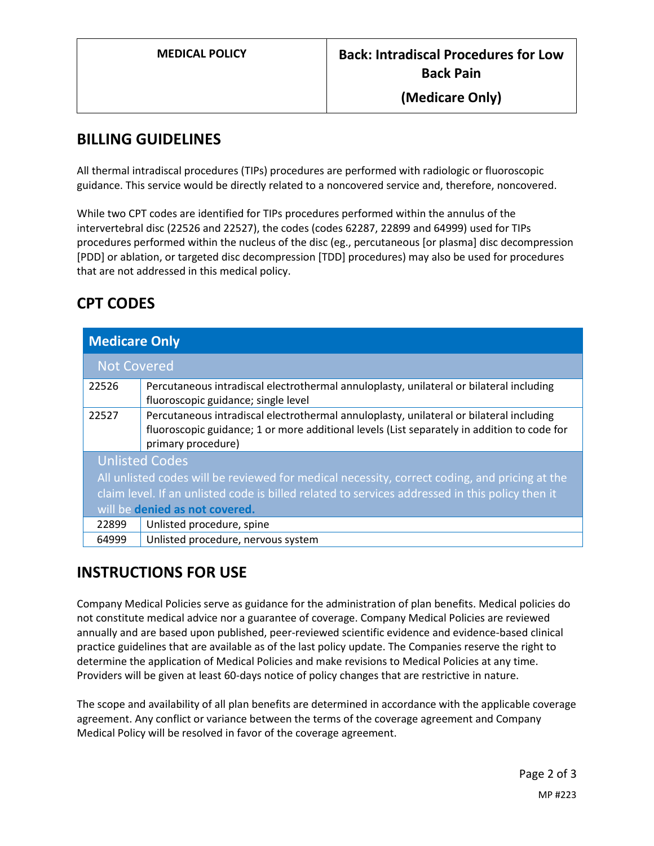#### **BILLING GUIDELINES**

All thermal intradiscal procedures (TIPs) procedures are performed with radiologic or fluoroscopic guidance. This service would be directly related to a noncovered service and, therefore, noncovered.

While two CPT codes are identified for TIPs procedures performed within the annulus of the intervertebral disc (22526 and 22527), the codes (codes 62287, 22899 and 64999) used for TIPs procedures performed within the nucleus of the disc (eg., percutaneous [or plasma] disc decompression [PDD] or ablation, or targeted disc decompression [TDD] procedures) may also be used for procedures that are not addressed in this medical policy.

# **CPT CODES**

| <b>Medicare Only</b>                                                                                                                                                                                                                                        |                                                                                                                                                                                                              |
|-------------------------------------------------------------------------------------------------------------------------------------------------------------------------------------------------------------------------------------------------------------|--------------------------------------------------------------------------------------------------------------------------------------------------------------------------------------------------------------|
| <b>Not Covered</b>                                                                                                                                                                                                                                          |                                                                                                                                                                                                              |
| 22526                                                                                                                                                                                                                                                       | Percutaneous intradiscal electrothermal annuloplasty, unilateral or bilateral including<br>fluoroscopic guidance; single level                                                                               |
| 22527                                                                                                                                                                                                                                                       | Percutaneous intradiscal electrothermal annuloplasty, unilateral or bilateral including<br>fluoroscopic guidance; 1 or more additional levels (List separately in addition to code for<br>primary procedure) |
| <b>Unlisted Codes</b><br>All unlisted codes will be reviewed for medical necessity, correct coding, and pricing at the<br>claim level. If an unlisted code is billed related to services addressed in this policy then it<br>will be denied as not covered. |                                                                                                                                                                                                              |
| 22899                                                                                                                                                                                                                                                       | Unlisted procedure, spine                                                                                                                                                                                    |
| 64999                                                                                                                                                                                                                                                       | Unlisted procedure, nervous system                                                                                                                                                                           |

### **INSTRUCTIONS FOR USE**

Company Medical Policies serve as guidance for the administration of plan benefits. Medical policies do not constitute medical advice nor a guarantee of coverage. Company Medical Policies are reviewed annually and are based upon published, peer-reviewed scientific evidence and evidence-based clinical practice guidelines that are available as of the last policy update. The Companies reserve the right to determine the application of Medical Policies and make revisions to Medical Policies at any time. Providers will be given at least 60-days notice of policy changes that are restrictive in nature.

The scope and availability of all plan benefits are determined in accordance with the applicable coverage agreement. Any conflict or variance between the terms of the coverage agreement and Company Medical Policy will be resolved in favor of the coverage agreement.